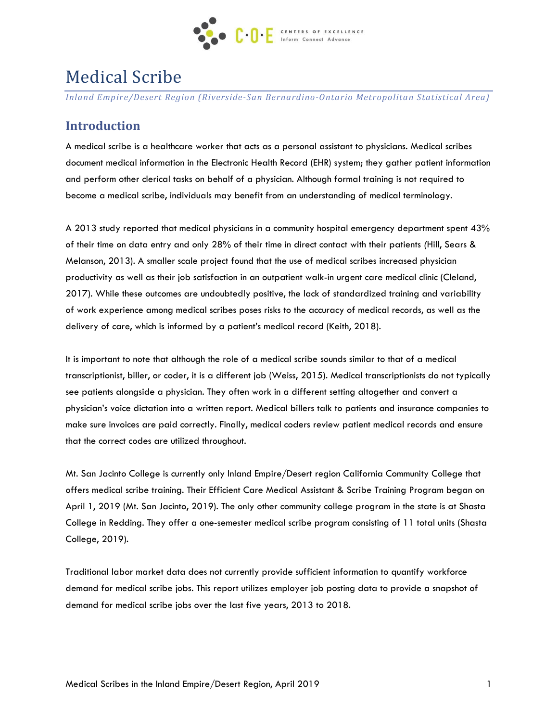

# Medical Scribe

*Inland Empire/Desert Region (Riverside-San Bernardino-Ontario Metropolitan Statistical Area)*

# **Introduction**

A medical scribe is a healthcare worker that acts as a personal assistant to physicians. Medical scribes document medical information in the Electronic Health Record (EHR) system; they gather patient information and perform other clerical tasks on behalf of a physician. Although formal training is not required to become a medical scribe, individuals may benefit from an understanding of medical terminology.

A 2013 study reported that medical physicians in a community hospital emergency department spent 43% of their time on data entry and only 28% of their time in direct contact with their patients *(*Hill, Sears & Melanson, 2013). A smaller scale project found that the use of medical scribes increased physician productivity as well as their job satisfaction in an outpatient walk-in urgent care medical clinic (Cleland, 2017). While these outcomes are undoubtedly positive, the lack of standardized training and variability of work experience among medical scribes poses risks to the accuracy of medical records, as well as the delivery of care, which is informed by a patient's medical record (Keith, 2018).

It is important to note that although the role of a medical scribe sounds similar to that of a medical transcriptionist, biller, or coder, it is a different job (Weiss, 2015). Medical transcriptionists do not typically see patients alongside a physician. They often work in a different setting altogether and convert a physician's voice dictation into a written report. Medical billers talk to patients and insurance companies to make sure invoices are paid correctly. Finally, medical coders review patient medical records and ensure that the correct codes are utilized throughout.

Mt. San Jacinto College is currently only Inland Empire/Desert region California Community College that offers medical scribe training. Their Efficient Care Medical Assistant & Scribe Training Program began on April 1, 2019 (Mt. San Jacinto, 2019). The only other community college program in the state is at Shasta College in Redding. They offer a one-semester medical scribe program consisting of 11 total units (Shasta College, 2019).

Traditional labor market data does not currently provide sufficient information to quantify workforce demand for medical scribe jobs. This report utilizes employer job posting data to provide a snapshot of demand for medical scribe jobs over the last five years, 2013 to 2018.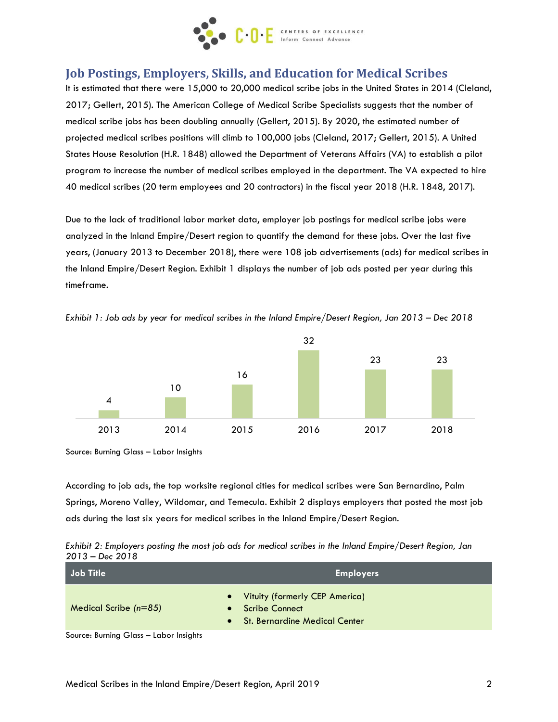

# **Job Postings, Employers, Skills, and Education for Medical Scribes**

It is estimated that there were 15,000 to 20,000 medical scribe jobs in the United States in 2014 (Cleland, 2017; Gellert, 2015). The American College of Medical Scribe Specialists suggests that the number of medical scribe jobs has been doubling annually (Gellert, 2015). By 2020, the estimated number of projected medical scribes positions will climb to 100,000 jobs (Cleland, 2017; Gellert, 2015). A United States House Resolution (H.R. 1848) allowed the Department of Veterans Affairs (VA) to establish a pilot program to increase the number of medical scribes employed in the department. The VA expected to hire 40 medical scribes (20 term employees and 20 contractors) in the fiscal year 2018 (H.R. 1848, 2017).

Due to the lack of traditional labor market data, employer job postings for medical scribe jobs were analyzed in the Inland Empire/Desert region to quantify the demand for these jobs. Over the last five years, (January 2013 to December 2018), there were 108 job advertisements (ads) for medical scribes in the Inland Empire/Desert Region. Exhibit 1 displays the number of job ads posted per year during this timeframe.





Source: Burning Glass – Labor Insights

According to job ads, the top worksite regional cities for medical scribes were San Bernardino, Palm Springs, Moreno Valley, Wildomar, and Temecula. Exhibit 2 displays employers that posted the most job ads during the last six years for medical scribes in the Inland Empire/Desert Region.

*Exhibit 2: Employers posting the most job ads for medical scribes in the Inland Empire/Desert Region, Jan 2013 – Dec 2018*

| Job Title                             | <b>Employers</b>                                                                                   |  |  |
|---------------------------------------|----------------------------------------------------------------------------------------------------|--|--|
| Medical Scribe $(n=85)$               | • Vituity (formerly CEP America)<br>Scribe Connect<br>$\bullet$<br>• St. Bernardine Medical Center |  |  |
| $SOur can be Cother = Lahor Incichte$ |                                                                                                    |  |  |

Source: Burning Glass – Labor Insights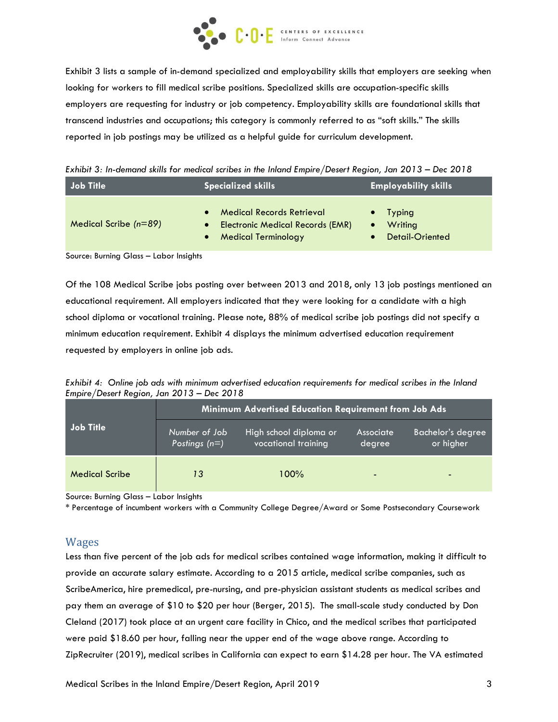

Exhibit 3 lists a sample of in-demand specialized and employability skills that employers are seeking when looking for workers to fill medical scribe positions. Specialized skills are occupation-specific skills employers are requesting for industry or job competency. Employability skills are foundational skills that transcend industries and occupations; this category is commonly referred to as "soft skills." The skills reported in job postings may be utilized as a helpful guide for curriculum development.

*Exhibit 3: In-demand skills for medical scribes in the Inland Empire/Desert Region, Jan 2013 – Dec 2018*

| Job Title               | <b>Specialized skills</b>                                                                                 | <b>Employability skills</b>                              |  |
|-------------------------|-----------------------------------------------------------------------------------------------------------|----------------------------------------------------------|--|
| Medical Scribe $(n=89)$ | <b>Medical Records Retrieval</b><br><b>Electronic Medical Records (EMR)</b><br><b>Medical Terminology</b> | <b>Typing</b><br>$\bullet$<br>Writing<br>Detail-Oriented |  |

Source: Burning Glass – Labor Insights

Of the 108 Medical Scribe jobs posting over between 2013 and 2018, only 13 job postings mentioned an educational requirement. All employers indicated that they were looking for a candidate with a high school diploma or vocational training. Please note, 88% of medical scribe job postings did not specify a minimum education requirement. Exhibit 4 displays the minimum advertised education requirement requested by employers in online job ads.

*Exhibit 4: Online job ads with minimum advertised education requirements for medical scribes in the Inland Empire/Desert Region, Jan 2013 – Dec 2018*

| Job Title             | Minimum Advertised Education Requirement from Job Ads |                                               |                            |                                |  |
|-----------------------|-------------------------------------------------------|-----------------------------------------------|----------------------------|--------------------------------|--|
|                       | Number of Job<br>Postings $(n=)$                      | High school diploma or<br>vocational training | <b>Associate</b><br>degree | Bachelor's degree<br>or higher |  |
| <b>Medical Scribe</b> | 13                                                    | 100%                                          | $\overline{\phantom{0}}$   | $\overline{\phantom{0}}$       |  |

Source: Burning Glass – Labor Insights

\* Percentage of incumbent workers with a Community College Degree/Award or Some Postsecondary Coursework

#### Wages

Less than five percent of the job ads for medical scribes contained wage information, making it difficult to provide an accurate salary estimate. According to a 2015 article, medical scribe companies, such as ScribeAmerica, hire premedical, pre-nursing, and pre-physician assistant students as medical scribes and pay them an average of \$10 to \$20 per hour (Berger, 2015). The small-scale study conducted by Don Cleland (2017) took place at an urgent care facility in Chico, and the medical scribes that participated were paid \$18.60 per hour, falling near the upper end of the wage above range. According to ZipRecruiter (2019), medical scribes in California can expect to earn \$14.28 per hour. The VA estimated